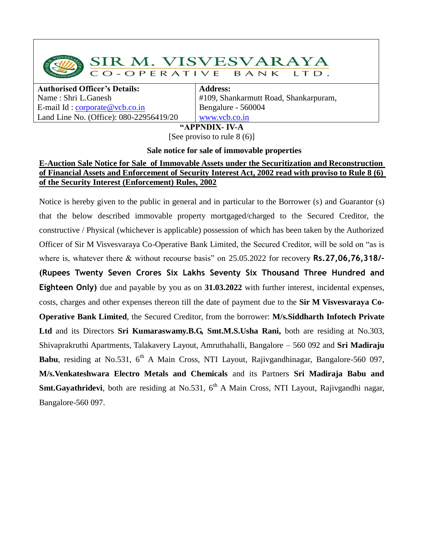SIR M. VISVESVARAYA CO-OPERATIVE BANK  $LTD.$ 

**Authorised Officer's Details:** Name : Shri L.Ganesh E-mail Id : [corporate@vcb.co.in](mailto:corporate@vcb.co.in) Land Line No. (Office): 080-22956419/20

**Address:** #109, Shankarmutt Road, Shankarpuram, Bengalure - 560004 [www.vcb.co.in](http://www.vcb.co.in/)

**"APPNDIX- IV-A**

[See proviso to rule 8 (6)]

## **Sale notice for sale of immovable properties**

## **E-Auction Sale Notice for Sale of Immovable Assets under the Securitization and Reconstruction of Financial Assets and Enforcement of Security Interest Act, 2002 read with proviso to Rule 8 (6) of the Security Interest (Enforcement) Rules, 2002**

Notice is hereby given to the public in general and in particular to the Borrower (s) and Guarantor (s) that the below described immovable property mortgaged/charged to the Secured Creditor, the constructive / Physical (whichever is applicable) possession of which has been taken by the Authorized Officer of Sir M Visvesvaraya Co-Operative Bank Limited, the Secured Creditor, will be sold on "as is where is, whatever there & without recourse basis" on 25.05.2022 for recovery **Rs.27,06,76,318/- (Rupees Twenty Seven Crores Six Lakhs Seventy Six Thousand Three Hundred and Eighteen Only)** due and payable by you as on **31.03.2022** with further interest, incidental expenses, costs, charges and other expenses thereon till the date of payment due to the **Sir M Visvesvaraya Co-Operative Bank Limited**, the Secured Creditor, from the borrower: **M/s.Siddharth Infotech Private Ltd** and its Directors **Sri Kumaraswamy.B.G, Smt.M.S.Usha Rani,** both are residing at No.303, Shivaprakruthi Apartments, Talakavery Layout, Amruthahalli, Bangalore – 560 092 and **Sri Madiraju Babu**, residing at No.531, 6<sup>th</sup> A Main Cross, NTI Layout, Rajivgandhinagar, Bangalore-560 097, **M/s.Venkateshwara Electro Metals and Chemicals** and its Partners **Sri Madiraja Babu and Smt.Gayathridevi**, both are residing at No.531, 6<sup>th</sup> A Main Cross, NTI Layout, Rajivgandhi nagar, Bangalore-560 097.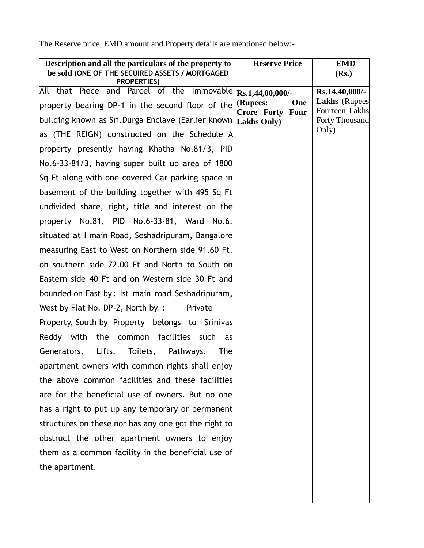The Reserve price, EMD amount and Property details are mentioned below:-

| Description and all the particulars of the property to<br>be sold (ONE OF THE SECUIRED ASSETS / MORTGAGED | <b>Reserve Price</b>                | <b>EMD</b><br>(Rs.)                      |
|-----------------------------------------------------------------------------------------------------------|-------------------------------------|------------------------------------------|
| <b>PROPERTIES)</b>                                                                                        |                                     |                                          |
| All that Piece and Parcel of the Immovable                                                                | Rs.1,44,00,000/-                    | $Rs.14,40,000/-$<br><b>Lakhs</b> (Rupees |
| property bearing DP-1 in the second floor of the                                                          | (Rupees:<br>One<br>Crore Forty Four | Fourteen Lakhs                           |
| building known as Sri.Durga Enclave (Earlier known Lakhs Only)                                            |                                     | <b>Forty Thousand</b>                    |
| as (THE REIGN) constructed on the Schedule A                                                              |                                     | Only)                                    |
| property presently having Khatha No.81/3, PID                                                             |                                     |                                          |
| $\textsf{No}.6-33-81/3$ , having super built up area of 1800                                              |                                     |                                          |
| Sq Ft along with one covered Car parking space in                                                         |                                     |                                          |
| basement of the building together with 495 Sq Ft                                                          |                                     |                                          |
| undivided share, right, title and interest on the                                                         |                                     |                                          |
| property $No.81$ , PID $No.6-33-81$ , Ward $No.6$ ,                                                       |                                     |                                          |
| situated at I main Road, Seshadripuram, Bangalore                                                         |                                     |                                          |
| measuring East to West on Northern side 91.60 Ft,                                                         |                                     |                                          |
| on southern side 72.00 Ft and North to South on                                                           |                                     |                                          |
| Eastern side 40 Ft and on Western side 30 Ft and                                                          |                                     |                                          |
| bounded on East by: Ist main road Seshadripuram,                                                          |                                     |                                          |
| West by Flat No. DP-2, North by :<br>Private                                                              |                                     |                                          |
| Property, South by Property belongs to Srinivas                                                           |                                     |                                          |
| Reddy with<br>the common facilities such<br>as                                                            |                                     |                                          |
| Lifts, Toilets, Pathways.<br>Generators,<br>The                                                           |                                     |                                          |
| apartment owners with common rights shall enjoy                                                           |                                     |                                          |
| the above common facilities and these facilities                                                          |                                     |                                          |
| are for the beneficial use of owners. But no one                                                          |                                     |                                          |
| has a right to put up any temporary or permanent                                                          |                                     |                                          |
| structures on these nor has any one got the right to                                                      |                                     |                                          |
| obstruct the other apartment owners to enjoy                                                              |                                     |                                          |
| them as a common facility in the beneficial use of                                                        |                                     |                                          |
| the apartment.                                                                                            |                                     |                                          |
|                                                                                                           |                                     |                                          |
|                                                                                                           |                                     |                                          |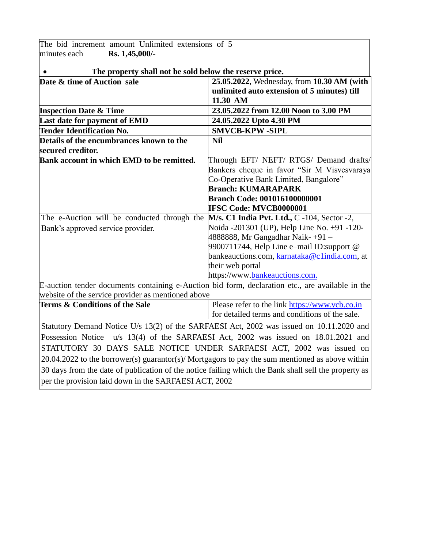| The bid increment amount Unlimited extensions of 5                                                   |                                                |  |
|------------------------------------------------------------------------------------------------------|------------------------------------------------|--|
| Rs. 1,45,000/-<br>minutes each                                                                       |                                                |  |
| The property shall not be sold below the reserve price.<br>$\bullet$                                 |                                                |  |
| Date & time of Auction sale                                                                          | 25.05.2022, Wednesday, from 10.30 AM (with     |  |
|                                                                                                      | unlimited auto extension of 5 minutes) till    |  |
|                                                                                                      | 11.30 AM                                       |  |
| <b>Inspection Date &amp; Time</b>                                                                    | 23.05.2022 from 12.00 Noon to 3.00 PM          |  |
| Last date for payment of EMD                                                                         | 24.05.2022 Upto 4.30 PM                        |  |
| <b>Tender Identification No.</b>                                                                     | <b>SMVCB-KPW-SIPL</b>                          |  |
| Details of the encumbrances known to the                                                             | <b>Nil</b>                                     |  |
| secured creditor.                                                                                    |                                                |  |
| Bank account in which EMD to be remitted.                                                            | Through EFT/ NEFT/ RTGS/ Demand drafts/        |  |
|                                                                                                      | Bankers cheque in favor "Sir M Visvesvaraya    |  |
|                                                                                                      | Co-Operative Bank Limited, Bangalore"          |  |
|                                                                                                      | <b>Branch: KUMARAPARK</b>                      |  |
|                                                                                                      | <b>Branch Code: 001016100000001</b>            |  |
|                                                                                                      | <b>IFSC Code: MVCB0000001</b>                  |  |
| The e-Auction will be conducted through the $M/s$ . C1 India Pvt. Ltd., C-104, Sector-2,             |                                                |  |
| Bank's approved service provider.                                                                    | Noida -201301 (UP), Help Line No. +91 -120-    |  |
|                                                                                                      | 4888888, Mr Gangadhar Naik-+91 –               |  |
|                                                                                                      | 9900711744, Help Line e-mail ID:support @      |  |
|                                                                                                      | bankeauctions.com, karnataka@clindia.com, at   |  |
|                                                                                                      | their web portal                               |  |
|                                                                                                      | https://www.bankeauctions.com.                 |  |
| E-auction tender documents containing e-Auction bid form, declaration etc., are available in the     |                                                |  |
| website of the service provider as mentioned above                                                   |                                                |  |
| Terms & Conditions of the Sale                                                                       | Please refer to the link https://www.vcb.co.in |  |
|                                                                                                      | for detailed terms and conditions of the sale. |  |
| Statutory Demand Notice U/s 13(2) of the SARFAESI Act, 2002 was issued on 10.11.2020 and             |                                                |  |
| Possession Notice u/s 13(4) of the SARFAESI Act, 2002 was issued on 18.01.2021 and                   |                                                |  |
| STATUTORY 30 DAYS SALE NOTICE UNDER SARFAESI ACT, 2002 was issued on                                 |                                                |  |
| 20.04.2022 to the borrower(s) guarantor(s)/ Mortgagors to pay the sum mentioned as above within      |                                                |  |
| 30 days from the date of publication of the notice failing which the Bank shall sell the property as |                                                |  |
| per the provision laid down in the SARFAESI ACT, 2002                                                |                                                |  |
|                                                                                                      |                                                |  |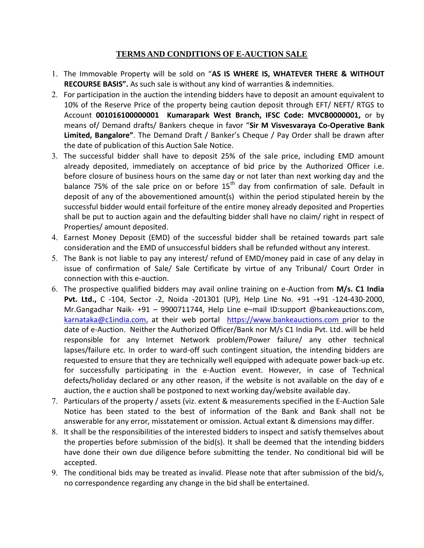## **TERMS AND CONDITIONS OF E-AUCTION SALE**

- The Immovable Property will be sold on "**AS IS WHERE IS, WHATEVER THERE & WITHOUT RECOURSE BASIS".** As such sale is without any kind of warranties & indemnities.
- For participation in the auction the intending bidders have to deposit an amount equivalent to 10% of the Reserve Price of the property being caution deposit through EFT/ NEFT/ RTGS to Account **001016100000001 Kumarapark West Branch, IFSC Code: MVCB0000001,** or by means of/ Demand drafts/ Bankers cheque in favor "**Sir M Visvesvaraya Co-Operative Bank Limited, Bangalore"**. The Demand Draft / Banker's Cheque / Pay Order shall be drawn after the date of publication of this Auction Sale Notice.
- The successful bidder shall have to deposit 25% of the sale price, including EMD amount already deposited, immediately on acceptance of bid price by the Authorized Officer i.e. before closure of business hours on the same day or not later than next working day and the balance 75% of the sale price on or before  $15<sup>th</sup>$  day from confirmation of sale. Default in deposit of any of the abovementioned amount(s) within the period stipulated herein by the successful bidder would entail forfeiture of the entire money already deposited and Properties shall be put to auction again and the defaulting bidder shall have no claim/ right in respect of Properties/ amount deposited.
- Earnest Money Deposit (EMD) of the successful bidder shall be retained towards part sale consideration and the EMD of unsuccessful bidders shall be refunded without any interest.
- 5. The Bank is not liable to pay any interest/ refund of EMD/money paid in case of any delay in issue of confirmation of Sale/ Sale Certificate by virtue of any Tribunal/ Court Order in connection with this e-auction.
- The prospective qualified bidders may avail online training on e-Auction from **M/s. C1 India Pvt. Ltd.,** C -104, Sector -2, Noida -201301 (UP), Help Line No. +91 -+91 -124-430-2000, Mr.Gangadhar Naik- +91 – 9900711744, Help Line e–mail ID:support @bankeauctions.com, [karnataka@c1india.com,](mailto:karnataka@c1india.com) at their web portal [https://www.bankeauctions.com](https://www.bankeauctions.com/) prior to the date of e-Auction. Neither the Authorized Officer/Bank nor M/s C1 India Pvt. Ltd. will be held responsible for any Internet Network problem/Power failure/ any other technical lapses/failure etc. In order to ward-off such contingent situation, the intending bidders are requested to ensure that they are technically well equipped with adequate power back-up etc. for successfully participating in the e-Auction event. However, in case of Technical defects/holiday declared or any other reason, if the website is not available on the day of e auction, the e auction shall be postponed to next working day/website available day.
- Particulars of the property / assets (viz. extent & measurements specified in the E-Auction Sale Notice has been stated to the best of information of the Bank and Bank shall not be answerable for any error, misstatement or omission. Actual extant & dimensions may differ.
- It shall be the responsibilities of the interested bidders to inspect and satisfy themselves about the properties before submission of the bid(s). It shall be deemed that the intending bidders have done their own due diligence before submitting the tender. No conditional bid will be accepted.
- The conditional bids may be treated as invalid. Please note that after submission of the bid/s, no correspondence regarding any change in the bid shall be entertained.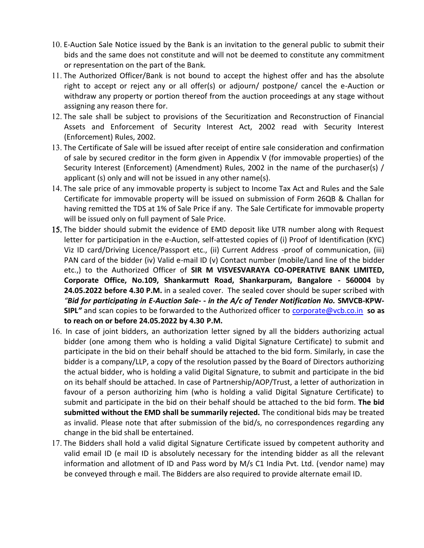- 10. E-Auction Sale Notice issued by the Bank is an invitation to the general public to submit their bids and the same does not constitute and will not be deemed to constitute any commitment or representation on the part of the Bank.
- 11. The Authorized Officer/Bank is not bound to accept the highest offer and has the absolute right to accept or reject any or all offer(s) or adjourn/ postpone/ cancel the e-Auction or withdraw any property or portion thereof from the auction proceedings at any stage without assigning any reason there for.
- 12. The sale shall be subject to provisions of the Securitization and Reconstruction of Financial Assets and Enforcement of Security Interest Act, 2002 read with Security Interest (Enforcement) Rules, 2002.
- 13. The Certificate of Sale will be issued after receipt of entire sale consideration and confirmation of sale by secured creditor in the form given in Appendix V (for immovable properties) of the Security Interest (Enforcement) (Amendment) Rules, 2002 in the name of the purchaser(s) / applicant (s) only and will not be issued in any other name(s).
- 14. The sale price of any immovable property is subject to Income Tax Act and Rules and the Sale Certificate for immovable property will be issued on submission of Form 26QB & Challan for having remitted the TDS at 1% of Sale Price if any. The Sale Certificate for immovable property will be issued only on full payment of Sale Price.
- 15. The bidder should submit the evidence of EMD deposit like UTR number along with Request letter for participation in the e-Auction, self-attested copies of (i) Proof of Identification (KYC) Viz ID card/Driving Licence/Passport etc., (ii) Current Address -proof of communication, (iii) PAN card of the bidder (iv) Valid e-mail ID (v) Contact number (mobile/Land line of the bidder etc.,) to the Authorized Officer of **SIR M VISVESVARAYA CO-OPERATIVE BANK LIMITED, Corporate Office, No.109, Shankarmutt Road, Shankarpuram, Bangalore - 560004** by **24.05.2022 before 4.30 P.M.** in a sealed cover. The sealed cover should be super scribed with *"Bid for participating in E-Auction Sale- - in the A/c of Tender Notification No.* **SMVCB-KPW-SIPL***"* and scan copies to be forwarded to the Authorized officer to [corporate@vcb.co.in](mailto:corporate@vcb.co.in) **so as to reach on or before 24.05.2022 by 4.30 P.M.**
- 16. In case of joint bidders, an authorization letter signed by all the bidders authorizing actual bidder (one among them who is holding a valid Digital Signature Certificate) to submit and participate in the bid on their behalf should be attached to the bid form. Similarly, in case the bidder is a company/LLP, a copy of the resolution passed by the Board of Directors authorizing the actual bidder, who is holding a valid Digital Signature, to submit and participate in the bid on its behalf should be attached. In case of Partnership/AOP/Trust, a letter of authorization in favour of a person authorizing him (who is holding a valid Digital Signature Certificate) to submit and participate in the bid on their behalf should be attached to the bid form. **The bid submitted without the EMD shall be summarily rejected.** The conditional bids may be treated as invalid. Please note that after submission of the bid/s, no correspondences regarding any change in the bid shall be entertained.
- 17. The Bidders shall hold a valid digital Signature Certificate issued by competent authority and valid email ID (e mail ID is absolutely necessary for the intending bidder as all the relevant information and allotment of ID and Pass word by M/s C1 India Pvt. Ltd. (vendor name) may be conveyed through e mail. The Bidders are also required to provide alternate email ID.